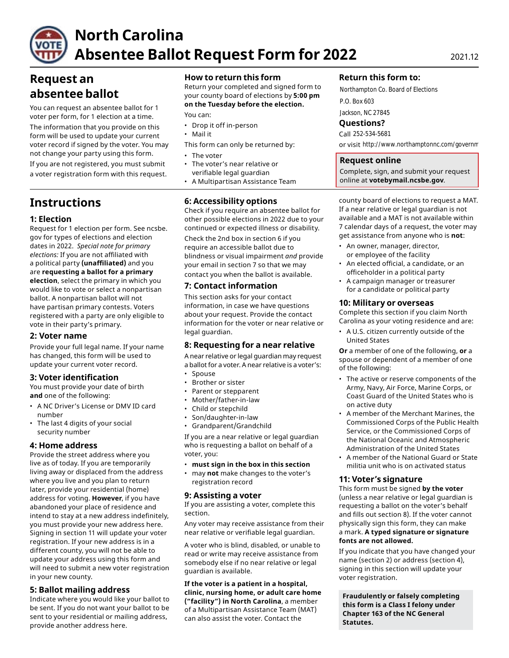

# **North Carolina Absentee Ballot Request Form for 2022** 2021.12

# **Request an absentee ballot**

You can request an absentee ballot for 1 voter per form, for 1 election at a time.

The information that you provide on this form will be used to update your current voter record if signed by the voter. You may not change your party using this form. • The voter

If you are not registered, you must submit • The voter's near relative or a voter registration form with this request.

# **Instructions**

# **1: Election**

Request for 1 election per form. See ncsbe. gov for types of elections and election dates in 2022. *Special note for primary elections:* If you are not affiliated with a political party **(unaffiliated)** and you are **requesting a ballot for a primary election**, select the primary in which you would like to vote or select a nonpartisan ballot. A nonpartisan ballot will not have partisan primary contests. Voters registered with a party are only eligible to vote in their party's primary.

# **2: Voter name**

Provide your full legal name. If your name has changed, this form will be used to update your current voter record.

# **3: Voter identification**

You must provide your date of birth **and** one of the following:

- A NC Driver's License or DMV ID card number
- The last 4 digits of your social security number

# **4: Home address**

Provide the street address where you live as of today. If you are temporarily living away or displaced from the address where you live and you plan to return later, provide your residential (home) address for voting. **However**, if you have abandoned your place of residence and intend to stay at a new address indefinitely, you must provide your new address here. Signing in section 11 will update your voter registration. If your new address is in a different county, you will not be able to update your address using this form and will need to submit a new voter registration in your new county.

# **5: Ballot mailing address**

Indicate where you would like your ballot to be sent. If you do not want your ballot to be sent to your residential or mailing address, provide another address here.

# **How to return this form**

Return your completed and signed form to your county board of elections by **5:00 pm on the Tuesday before the election.** 

You can:

- Drop it off in-person
- Mail it
- This form can only be returned by:
- 
- verifiable legal guardian
- A Multipartisan Assistance Team

# **6: Accessibility options**

Check if you require an absentee ballot for other possible elections in 2022 due to your continued or expected illness or disability.

Check the 2nd box in section 6 if you require an accessible ballot due to blindness or visual impairment *and* provide your email in section 7 so that we may contact you when the ballot is available.

# **7: Contact information**

This section asks for your contact information, in case we have questions about your request. Provide the contact information for the voter or near relative or legal guardian.

# **8: Requesting for a near relative**

A near relative or legal guardian may request a ballot for a voter. A near relative is a voter's:

- Spouse
- Brother or sister
- Parent or stepparent
- Mother/father-in-law
- Child or stepchild
- Son/daughter-in-law
- Grandparent/Grandchild

If you are a near relative or legal guardian who is requesting a ballot on behalf of a voter, you:

- **must sign in the box in this section**
- may **not** make changes to the voter's registration record

# **9: Assisting a voter**

If you are assisting a voter, complete this section.

Any voter may receive assistance from their near relative or verifiable legal guardian.

A voter who is blind, disabled, or unable to read or write may receive assistance from somebody else if no near relative or legal guardian is available.

**If the voter is a patient in a hospital, clinic, nursing home, or adult care home ("facility") in North Carolina**, a member of a Multipartisan Assistance Team (MAT) can also assist the voter. Contact the

### **Return this form to:**

Northampton Co. Board of Elections P.O. Box 603

Jackson, NC 27845

### **Questions?**

Call 252-534-5681

or visit http://www.northamptonnc.com/governm

### **Request online**

Complete, sign, and submit your request online at **[votebymail.ncsbe.gov](https://votebymail.ncsbe.gov)**.

county board of elections to request a MAT. If a near relative or legal guardian is not available and a MAT is not available within 7 calendar days of a request, the voter may get assistance from anyone who is **not**:

- An owner, manager, director, or employee of the facility
- An elected official, a candidate, or an officeholder in a political party
- A campaign manager or treasurer for a candidate or political party

#### **10: Military or overseas**

Complete this section if you claim North Carolina as your voting residence and are:

• A U.S. citizen currently outside of the United States

**Or** a member of one of the following, **or** a spouse or dependent of a member of one of the following:

- The active or reserve components of the Army, Navy, Air Force, Marine Corps, or Coast Guard of the United States who is on active duty
- A member of the Merchant Marines, the Commissioned Corps of the Public Health Service, or the Commissioned Corps of the National Oceanic and Atmospheric Administration of the United States
- A member of the National Guard or State militia unit who is on activated status

#### **11: Voter's signature**

This form must be signed **by the voter**  (unless a near relative or legal guardian is requesting a ballot on the voter's behalf and fills out section 8). If the voter cannot physically sign this form, they can make a mark. **A typed signature or signature fonts are not allowed.** 

If you indicate that you have changed your name (section 2) or address (section 4), signing in this section will update your voter registration.

**Fraudulently or falsely completing this form is a Class I felony under Chapter 163 of the NC General Statutes.**